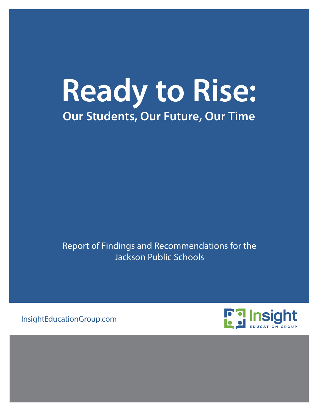# **Ready to Rise: Our Students, Our Future, Our Time**

Report of Findings and Recommendations for the Jackson Public Schools

[InsightEducationGroup.com](http://www.InsightEducationGroup.com)

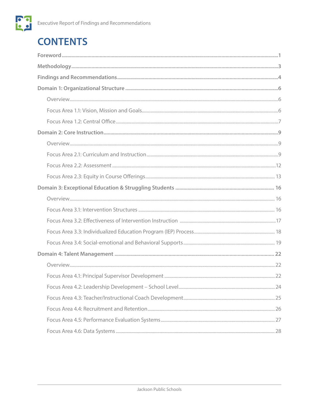### **CONTENTS**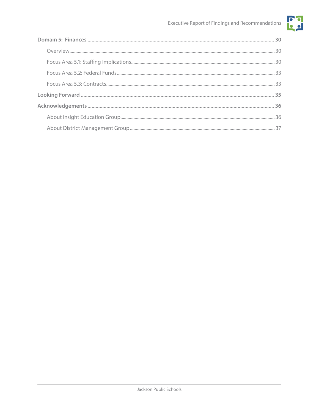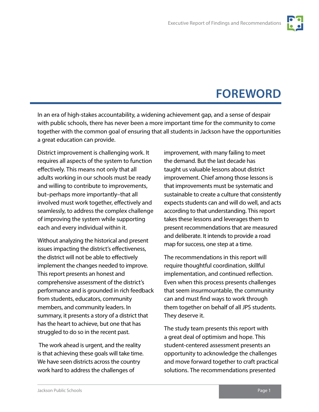

### **FOREWORD**

<span id="page-3-0"></span>In an era of high-stakes accountability, a widening achievement gap, and a sense of despair with public schools, there has never been a more important time for the community to come together with the common goal of ensuring that all students in Jackson have the opportunities a great education can provide.

District improvement is challenging work. It requires all aspects of the system to function effectively. This means not only that all adults working in our schools must be ready and willing to contribute to improvements, but–perhaps more importantly–that all involved must work together, effectively and seamlessly, to address the complex challenge of improving the system while supporting each and every individual within it.

Without analyzing the historical and present issues impacting the district's effectiveness, the district will not be able to effectively implement the changes needed to improve. This report presents an honest and comprehensive assessment of the district's performance and is grounded in rich feedback from students, educators, community members, and community leaders. In summary, it presents a story of a district that has the heart to achieve, but one that has struggled to do so in the recent past.

 The work ahead is urgent, and the reality is that achieving these goals will take time. We have seen districts across the country work hard to address the challenges of

improvement, with many failing to meet the demand. But the last decade has taught us valuable lessons about district improvement. Chief among those lessons is that improvements must be systematic and sustainable to create a culture that consistently expects students can and will do well, and acts according to that understanding. This report takes these lessons and leverages them to present recommendations that are measured and deliberate. It intends to provide a road map for success, one step at a time.

The recommendations in this report will require thoughtful coordination, skillful implementation, and continued reflection. Even when this process presents challenges that seem insurmountable, the community can and must find ways to work through them together on behalf of all JPS students. They deserve it.

The study team presents this report with a great deal of optimism and hope. This student-centered assessment presents an opportunity to acknowledge the challenges and move forward together to craft practical solutions. The recommendations presented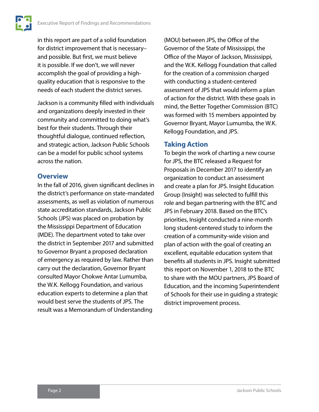in this report are part of a solid foundation for district improvement that is necessary– and possible. But first, we must believe it is possible. If we don't, we will never accomplish the goal of providing a highquality education that is responsive to the needs of each student the district serves.

Jackson is a community filled with individuals and organizations deeply invested in their community and committed to doing what's best for their students. Through their thoughtful dialogue, continued reflection, and strategic action, Jackson Public Schools can be a model for public school systems across the nation.

#### **Overview**

In the fall of 2016, given significant declines in the district's performance on state-mandated assessments, as well as violation of numerous state accreditation standards, Jackson Public Schools (JPS) was placed on probation by the Mississippi Department of Education (MDE). The department voted to take over the district in September 2017 and submitted to Governor Bryant a proposed declaration of emergency as required by law. Rather than carry out the declaration, Governor Bryant consulted Mayor Chokwe Antar Lumumba, the W.K. Kellogg Foundation, and various education experts to determine a plan that would best serve the students of JPS. The result was a Memorandum of Understanding

(MOU) between JPS, the Office of the Governor of the State of Mississippi, the Office of the Mayor of Jackson, Mississippi, and the W.K. Kellogg Foundation that called for the creation of a commission charged with conducting a student-centered assessment of JPS that would inform a plan of action for the district. With these goals in mind, the Better Together Commission (BTC) was formed with 15 members appointed by Governor Bryant, Mayor Lumumba, the W.K. Kellogg Foundation, and JPS.

#### **Taking Action**

To begin the work of charting a new course for JPS, the BTC released a Request for Proposals in December 2017 to identify an organization to conduct an assessment and create a plan for JPS. Insight Education Group (Insight) was selected to fulfill this role and began partnering with the BTC and JPS in February 2018. Based on the BTC's priorities, Insight conducted a nine-month long student-centered study to inform the creation of a community-wide vision and plan of action with the goal of creating an excellent, equitable education system that benefits all students in JPS. Insight submitted this report on November 1, 2018 to the BTC to share with the MOU partners, JPS Board of Education, and the incoming Superintendent of Schools for their use in guiding a strategic district improvement process.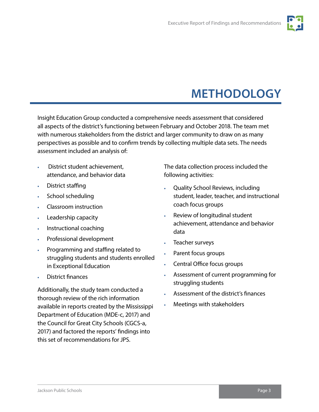

## **METHODOLOGY**

<span id="page-5-0"></span>Insight Education Group conducted a comprehensive needs assessment that considered all aspects of the district's functioning between February and October 2018. The team met with numerous stakeholders from the district and larger community to draw on as many perspectives as possible and to confirm trends by collecting multiple data sets. The needs assessment included an analysis of:

- **•** District student achievement, attendance, and behavior data
- **•** District staffing
- **•** School scheduling
- **•** Classroom instruction
- **•** Leadership capacity
- **•** Instructional coaching
- **•** Professional development
- **•** Programming and staffing related to struggling students and students enrolled in Exceptional Education
- **•** District finances

Additionally, the study team conducted a thorough review of the rich information available in reports created by the Mississippi Department of Education (MDE-c, 2017) and the Council for Great City Schools (CGCS-a, 2017) and factored the reports' findings into this set of recommendations for JPS.

The data collection process included the following activities:

- **•** Quality School Reviews, including student, leader, teacher, and instructional coach focus groups
- **•** Review of longitudinal student achievement, attendance and behavior data
- **•** Teacher surveys
- **•** Parent focus groups
- **•** Central Office focus groups
- **•** Assessment of current programming for struggling students
- **•** Assessment of the district's finances
- **•** Meetings with stakeholders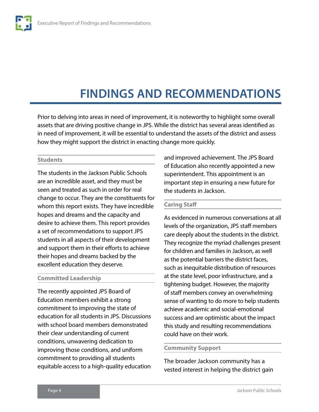### <span id="page-6-0"></span>**FINDINGS AND RECOMMENDATIONS**

Prior to delving into areas in need of improvement, it is noteworthy to highlight some overall assets that are driving positive change in JPS. While the district has several areas identified as in need of improvement, it will be essential to understand the assets of the district and assess how they might support the district in enacting change more quickly.

#### **Students**

The students in the Jackson Public Schools are an incredible asset, and they must be seen and treated as such in order for real change to occur. They are the constituents for whom this report exists. They have incredible hopes and dreams and the capacity and desire to achieve them. This report provides a set of recommendations to support JPS students in all aspects of their development and support them in their efforts to achieve their hopes and dreams backed by the excellent education they deserve.

#### **Committed Leadership**

The recently appointed JPS Board of Education members exhibit a strong commitment to improving the state of education for all students in JPS. Discussions with school board members demonstrated their clear understanding of current conditions, unwavering dedication to improving those conditions, and uniform commitment to providing all students equitable access to a high-quality education and improved achievement. The JPS Board of Education also recently appointed a new superintendent. This appointment is an important step in ensuring a new future for the students in Jackson.

#### **Caring Staff**

As evidenced in numerous conversations at all levels of the organization, JPS staff members care deeply about the students in the district. They recognize the myriad challenges present for children and families in Jackson, as well as the potential barriers the district faces, such as inequitable distribution of resources at the state level, poor infrastructure, and a tightening budget. However, the majority of staff members convey an overwhelming sense of wanting to do more to help students achieve academic and social-emotional success and are optimistic about the impact this study and resulting recommendations could have on their work.

#### **Community Support**

The broader Jackson community has a vested interest in helping the district gain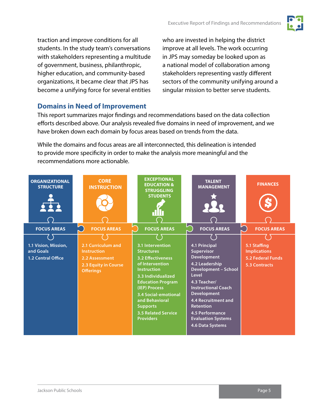traction and improve conditions for all students. In the study team's conversations with stakeholders representing a multitude of government, business, philanthropic, higher education, and community-based organizations, it became clear that JPS has become a unifying force for several entities who are invested in helping the district improve at all levels. The work occurring in JPS may someday be looked upon as a national model of collaboration among stakeholders representing vastly different sectors of the community unifying around a singular mission to better serve students.

#### **Domains in Need of Improvement**

This report summarizes major findings and recommendations based on the data collection efforts described above. Our analysis revealed five domains in need of improvement, and we have broken down each domain by focus areas based on trends from the data.

While the domains and focus areas are all interconnected, this delineation is intended to provide more specificity in order to make the analysis more meaningful and the recommendations more actionable.

| <b>ORGANIZATIONAL</b><br><b>STRUCTURE</b>               | <b>CORE</b><br><b>INSTRUCTION</b>                                                                      | <b>EXCEPTIONAL</b><br><b>EDUCATION &amp;</b><br><b>STRUGGLING</b><br><b>STUDENTS</b>                                                                                                                                                                                                                | <b>TALENT</b><br><b>MANAGEMENT</b>                                                                                                                                                                                                                                                             | <b>FINANCES</b>                                                                         |
|---------------------------------------------------------|--------------------------------------------------------------------------------------------------------|-----------------------------------------------------------------------------------------------------------------------------------------------------------------------------------------------------------------------------------------------------------------------------------------------------|------------------------------------------------------------------------------------------------------------------------------------------------------------------------------------------------------------------------------------------------------------------------------------------------|-----------------------------------------------------------------------------------------|
| <b>FOCUS AREAS</b>                                      | <b>FOCUS AREAS</b>                                                                                     | <b>FOCUS AREAS</b>                                                                                                                                                                                                                                                                                  | <b>FOCUS AREAS</b>                                                                                                                                                                                                                                                                             | <b>FOCUS AREAS</b>                                                                      |
| 1.1 Vision, Mission,<br>and Goals<br>1.2 Central Office | 2.1 Curriculum and<br><b>Instruction</b><br>2.2 Assessment<br>2.3 Equity in Course<br><b>Offerings</b> | <b>3.1 Intervention</b><br><b>Structures</b><br>3.2 Effectiveness<br>of Intervention<br><b>Instruction</b><br>3.3 Individualized<br><b>Education Program</b><br>(IEP) Process<br><b>3.4 Social-emotional</b><br>and Behavioral<br><b>Supports</b><br><b>3.5 Related Service</b><br><b>Providers</b> | 4.1 Principal<br><b>Supervisor</b><br>Development<br>4.2 Leadership<br><b>Development - School</b><br>Level<br>4.3 Teacher/<br><b>Instructional Coach</b><br>Development<br>4.4 Recruitment and<br><b>Retention</b><br><b>4.5 Performance</b><br><b>Evaluation Systems</b><br>4.6 Data Systems | 5.1 Staffing<br><b>Implications</b><br><b>5.2 Federal Funds</b><br><b>5.3 Contracts</b> |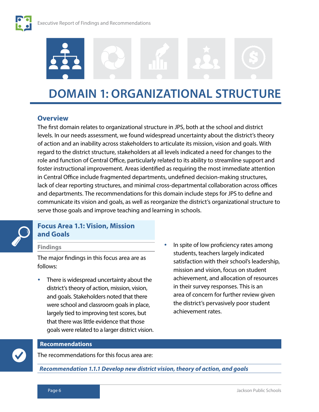<span id="page-8-0"></span>

### **DOMAIN 1: ORGANIZATIONAL STRUCTURE**

#### **Overview**

The first domain relates to organizational structure in JPS, both at the school and district levels. In our needs assessment, we found widespread uncertainty about the district's theory of action and an inability across stakeholders to articulate its mission, vision and goals. With regard to the district structure, stakeholders at all levels indicated a need for changes to the role and function of Central Office, particularly related to its ability to streamline support and foster instructional improvement. Areas identified as requiring the most immediate attention in Central Office include fragmented departments, undefined decision-making structures, lack of clear reporting structures, and minimal cross-departmental collaboration across offices and departments. The recommendations for this domain include steps for JPS to define and communicate its vision and goals, as well as reorganize the district's organizational structure to serve those goals and improve teaching and learning in schools.



#### **Focus Area 1.1: Vision, Mission and Goals**

#### **Findings**

The major findings in this focus area are as follows:

- There is widespread uncertainty about the district's theory of action, mission, vision, and goals. Stakeholders noted that there were school and classroom goals in place, largely tied to improving test scores, but that there was little evidence that those goals were related to a larger district vision.
- In spite of low proficiency rates among students, teachers largely indicated satisfaction with their school's leadership, mission and vision, focus on student achievement, and allocation of resources in their survey responses. This is an area of concern for further review given the district's pervasively poor student achievement rates.

#### **Recommendations**

The recommendations for this focus area are:

*Recommendation 1.1.1 Develop new district vision, theory of action, and goals*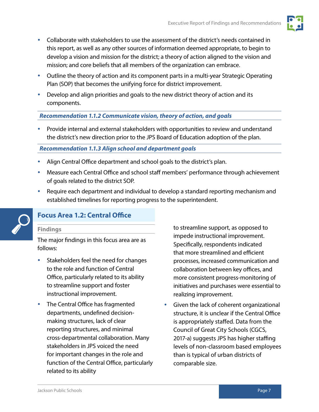

- <span id="page-9-0"></span> Collaborate with stakeholders to use the assessment of the district's needs contained in this report, as well as any other sources of information deemed appropriate, to begin to develop a vision and mission for the district; a theory of action aligned to the vision and mission; and core beliefs that all members of the organization can embrace.
- Outline the theory of action and its component parts in a multi-year Strategic Operating Plan (SOP) that becomes the unifying force for district improvement.
- Develop and align priorities and goals to the new district theory of action and its components.

*Recommendation 1.1.2 Communicate vision, theory of action, and goals*

• Provide internal and external stakeholders with opportunities to review and understand the district's new direction prior to the JPS Board of Education adoption of the plan.

*Recommendation 1.1.3 Align school and department goals*

- Align Central Office department and school goals to the district's plan.
- Measure each Central Office and school staff members' performance through achievement of goals related to the district SOP.
- Require each department and individual to develop a standard reporting mechanism and established timelines for reporting progress to the superintendent.



### **Focus Area 1.2: Central Office**

#### **Findings**

The major findings in this focus area are as follows:

- Stakeholders feel the need for changes to the role and function of Central Office, particularly related to its ability to streamline support and foster instructional improvement.
- The Central Office has fragmented departments, undefined decisionmaking structures, lack of clear reporting structures, and minimal cross-departmental collaboration. Many stakeholders in JPS voiced the need for important changes in the role and function of the Central Office, particularly related to its ability

to streamline support, as opposed to impede instructional improvement. Specifically, respondents indicated that more streamlined and efficient processes, increased communication and collaboration between key offices, and more consistent progress-monitoring of initiatives and purchases were essential to realizing improvement.

 Given the lack of coherent organizational structure, it is unclear if the Central Office is appropriately staffed. Data from the Council of Great City Schools (CGCS, 2017-a) suggests JPS has higher staffing levels of non-classroom based employees than is typical of urban districts of comparable size.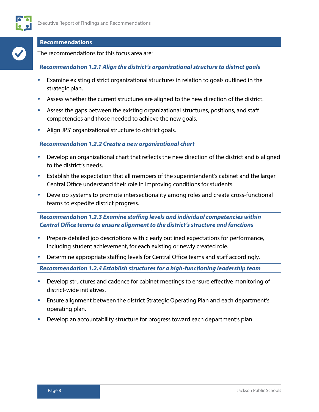#### **Recommendations**

The recommendations for this focus area are:

*Recommendation 1.2.1 Align the district's organizational structure to district goals*

- Examine existing district organizational structures in relation to goals outlined in the strategic plan.
- Assess whether the current structures are aligned to the new direction of the district.
- Assess the gaps between the existing organizational structures, positions, and staff competencies and those needed to achieve the new goals.
- Align JPS' organizational structure to district goals.

*Recommendation 1.2.2 Create a new organizational chart*

- Develop an organizational chart that reflects the new direction of the district and is aligned to the district's needs.
- Establish the expectation that all members of the superintendent's cabinet and the larger Central Office understand their role in improving conditions for students.
- Develop systems to promote intersectionality among roles and create cross-functional teams to expedite district progress.

*Recommendation 1.2.3 Examine staffing levels and individual competencies within Central Office teams to ensure alignment to the district's structure and functions*

- Prepare detailed job descriptions with clearly outlined expectations for performance, including student achievement, for each existing or newly created role.
- Determine appropriate staffing levels for Central Office teams and staff accordingly.

*Recommendation 1.2.4 Establish structures for a high-functioning leadership team*

- Develop structures and cadence for cabinet meetings to ensure effective monitoring of district-wide initiatives.
- Ensure alignment between the district Strategic Operating Plan and each department's operating plan.
- Develop an accountability structure for progress toward each department's plan.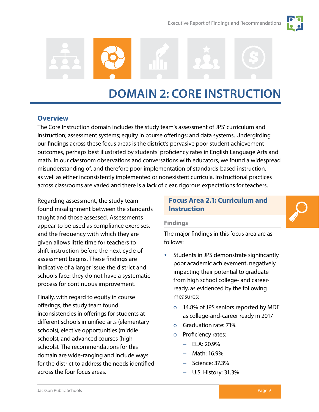

<span id="page-11-0"></span>

### **DOMAIN 2: CORE INSTRUCTION**

#### **Overview**

The Core Instruction domain includes the study team's assessment of JPS' curriculum and instruction; assessment systems; equity in course offerings; and data systems. Undergirding our findings across these focus areas is the district's pervasive poor student achievement outcomes, perhaps best illustrated by students' proficiency rates in English Language Arts and math. In our classroom observations and conversations with educators, we found a widespread misunderstanding of, and therefore poor implementation of standards-based instruction, as well as either inconsistently implemented or nonexistent curricula. Instructional practices across classrooms are varied and there is a lack of clear, rigorous expectations for teachers.

Regarding assessment, the study team found misalignment between the standards taught and those assessed. Assessments appear to be used as compliance exercises, and the frequency with which they are given allows little time for teachers to shift instruction before the next cycle of assessment begins. These findings are indicative of a larger issue the district and schools face: they do not have a systematic process for continuous improvement.

Finally, with regard to equity in course offerings, the study team found inconsistencies in offerings for students at different schools in unified arts (elementary schools), elective opportunities (middle schools), and advanced courses (high schools). The recommendations for this domain are wide-ranging and include ways for the district to address the needs identified across the four focus areas.

#### **Focus Area 2.1: Curriculum and Instruction**



#### **Findings**

The major findings in this focus area are as follows:

- Students in JPS demonstrate significantly poor academic achievement, negatively impacting their potential to graduate from high school college- and careerready, as evidenced by the following measures:
	- o 14.8% of JPS seniors reported by MDE as college-and-career ready in 2017
	- o Graduation rate: 71%
	- o Proficiency rates:
		- − ELA: 20.9%
		- − Math: 16.9%
		- − Science: 37.3%
		- − U.S. History: 31.3%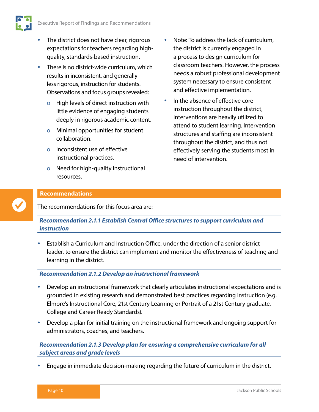- The district does not have clear, rigorous expectations for teachers regarding highquality, standards-based instruction.
- There is no district-wide curriculum, which results in inconsistent, and generally less rigorous, instruction for students. Observations and focus groups revealed:
	- o High levels of direct instruction with little evidence of engaging students deeply in rigorous academic content.
	- o Minimal opportunities for student collaboration.
	- o Inconsistent use of effective instructional practices.
	- o Need for high-quality instructional resources.
- Note: To address the lack of curriculum, the district is currently engaged in a process to design curriculum for classroom teachers. However, the process needs a robust professional development system necessary to ensure consistent and effective implementation.
- In the absence of effective core instruction throughout the district, interventions are heavily utilized to attend to student learning. Intervention structures and staffing are inconsistent throughout the district, and thus not effectively serving the students most in need of intervention.

#### **Recommendations**

The recommendations for this focus area are:

*Recommendation 2.1.1 Establish Central Office structures to support curriculum and instruction*

 Establish a Curriculum and Instruction Office, under the direction of a senior district leader, to ensure the district can implement and monitor the effectiveness of teaching and learning in the district.

#### *Recommendation 2.1.2 Develop an instructional framework*

- Develop an instructional framework that clearly articulates instructional expectations and is grounded in existing research and demonstrated best practices regarding instruction (e.g. Elmore's Instructional Core, 21st Century Learning or Portrait of a 21st Century graduate, College and Career Ready Standards).
- Develop a plan for initial training on the instructional framework and ongoing support for administrators, coaches, and teachers.

*Recommendation 2.1.3 Develop plan for ensuring a comprehensive curriculum for all subject areas and grade levels*

Engage in immediate decision-making regarding the future of curriculum in the district.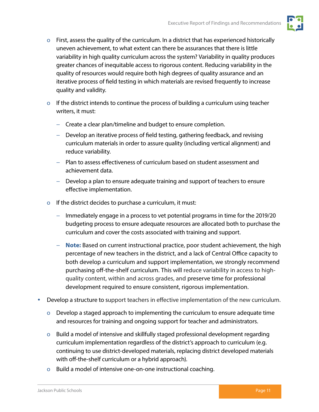

- o First, assess the quality of the curriculum. In a district that has experienced historically uneven achievement, to what extent can there be assurances that there is little variability in high quality curriculum across the system? Variability in quality produces greater chances of inequitable access to rigorous content. Reducing variability in the quality of resources would require both high degrees of quality assurance and an iterative process of field testing in which materials are revised frequently to increase quality and validity.
- o If the district intends to continue the process of building a curriculum using teacher writers, it must:
	- − Create a clear plan/timeline and budget to ensure completion.
	- − Develop an iterative process of field testing, gathering feedback, and revising curriculum materials in order to assure quality (including vertical alignment) and reduce variability.
	- − Plan to assess effectiveness of curriculum based on student assessment and achievement data.
	- − Develop a plan to ensure adequate training and support of teachers to ensure effective implementation.
- o If the district decides to purchase a curriculum, it must:
	- − Immediately engage in a process to vet potential programs in time for the 2019/20 budgeting process to ensure adequate resources are allocated both to purchase the curriculum and cover the costs associated with training and support.
	- − **Note:** Based on current instructional practice, poor student achievement, the high percentage of new teachers in the district, and a lack of Central Office capacity to both develop a curriculum and support implementation, we strongly recommend purchasing off-the-shelf curriculum. This will reduce variability in access to highquality content, within and across grades, and preserve time for professional development required to ensure consistent, rigorous implementation.
- Develop a structure to support teachers in effective implementation of the new curriculum.
	- o Develop a staged approach to implementing the curriculum to ensure adequate time and resources for training and ongoing support for teacher and administrators.
	- o Build a model of intensive and skillfully staged professional development regarding curriculum implementation regardless of the district's approach to curriculum (e.g. continuing to use district-developed materials, replacing district developed materials with off-the-shelf curriculum or a hybrid approach).
	- o Build a model of intensive one-on-one instructional coaching.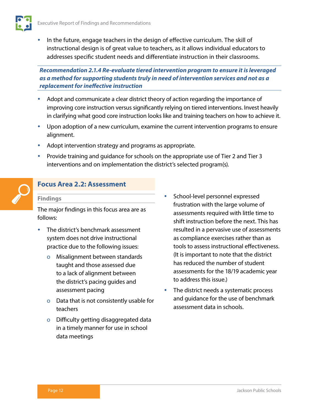<span id="page-14-0"></span>

 In the future, engage teachers in the design of effective curriculum. The skill of instructional design is of great value to teachers, as it allows individual educators to addresses specific student needs and differentiate instruction in their classrooms.

*Recommendation 2.1.4 Re-evaluate tiered intervention program to ensure it is leveraged as a method for supporting students truly in need of intervention services and not as a replacement for ineffective instruction*

- Adopt and communicate a clear district theory of action regarding the importance of improving core instruction versus significantly relying on tiered interventions. Invest heavily in clarifying what good core instruction looks like and training teachers on how to achieve it.
- Upon adoption of a new curriculum, examine the current intervention programs to ensure alignment.
- Adopt intervention strategy and programs as appropriate.
- Provide training and guidance for schools on the appropriate use of Tier 2 and Tier 3 interventions and on implementation the district's selected program(s).



#### **Focus Area 2.2: Assessment**

#### **Findings**

The major findings in this focus area are as follows:

- The district's benchmark assessment system does not drive instructional practice due to the following issues:
	- o Misalignment between standards taught and those assessed due to a lack of alignment between the district's pacing guides and assessment pacing
	- o Data that is not consistently usable for teachers
	- o Difficulty getting disaggregated data in a timely manner for use in school data meetings
- School-level personnel expressed frustration with the large volume of assessments required with little time to shift instruction before the next. This has resulted in a pervasive use of assessments as compliance exercises rather than as tools to assess instructional effectiveness. (It is important to note that the district has reduced the number of student assessments for the 18/19 academic year to address this issue.)
- The district needs a systematic process and guidance for the use of benchmark assessment data in schools.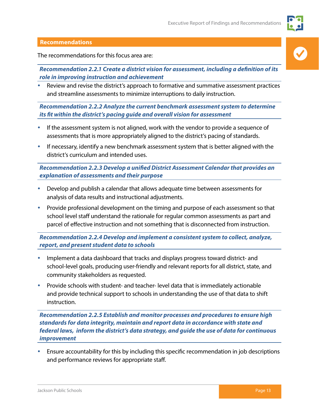#### <span id="page-15-0"></span>**Recommendations**

The recommendations for this focus area are:

*Recommendation 2.2.1 Create a district vision for assessment, including a definition of its role in improving instruction and achievement*

 Review and revise the district's approach to formative and summative assessment practices and streamline assessments to minimize interruptions to daily instruction.

*Recommendation 2.2.2 Analyze the current benchmark assessment system to determine its fit within the district's pacing guide and overall vision for assessment*

- If the assessment system is not aligned, work with the vendor to provide a sequence of assessments that is more appropriately aligned to the district's pacing of standards.
- If necessary, identify a new benchmark assessment system that is better aligned with the district's curriculum and intended uses.

*Recommendation 2.2.3 Develop a unified District Assessment Calendar that provides an explanation of assessments and their purpose*

- Develop and publish a calendar that allows adequate time between assessments for analysis of data results and instructional adjustments.
- Provide professional development on the timing and purpose of each assessment so that school level staff understand the rationale for regular common assessments as part and parcel of effective instruction and not something that is disconnected from instruction.

*Recommendation 2.2.4 Develop and implement a consistent system to collect, analyze, report, and present student data to schools*

- Implement a data dashboard that tracks and displays progress toward district- and school-level goals, producing user-friendly and relevant reports for all district, state, and community stakeholders as requested.
- Provide schools with student- and teacher- level data that is immediately actionable and provide technical support to schools in understanding the use of that data to shift instruction.

*Recommendation 2.2.5 Establish and monitor processes and procedures to ensure high standards for data integrity, maintain and report data in accordance with state and federal laws, inform the district's data strategy, and guide the use of data for continuous improvement*

 Ensure accountability for this by including this specific recommendation in job descriptions and performance reviews for appropriate staff.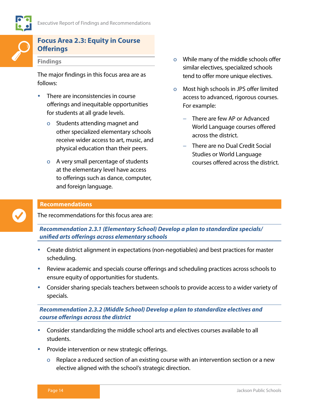

#### **Focus Area 2.3: Equity in Course Offerings**

#### **Findings**

The major findings in this focus area are as follows:

- There are inconsistencies in course offerings and inequitable opportunities for students at all grade levels.
	- o Students attending magnet and other specialized elementary schools receive wider access to art, music, and physical education than their peers.
	- o A very small percentage of students at the elementary level have access to offerings such as dance, computer, and foreign language.
- o While many of the middle schools offer similar electives, specialized schools tend to offer more unique electives.
- o Most high schools in JPS offer limited access to advanced, rigorous courses. For example:
	- − There are few AP or Advanced World Language courses offered across the district.
	- − There are no Dual Credit Social Studies or World Language courses offered across the district.

#### **Recommendations**

The recommendations for this focus area are:

*Recommendation 2.3.1 (Elementary School) Develop a plan to standardize specials/ unified arts offerings across elementary schools*

- Create district alignment in expectations (non-negotiables) and best practices for master scheduling.
- Review academic and specials course offerings and scheduling practices across schools to ensure equity of opportunities for students.
- Consider sharing specials teachers between schools to provide access to a wider variety of specials.

*Recommendation 2.3.2 (Middle School) Develop a plan to standardize electives and course offerings across the district*

- Consider standardizing the middle school arts and electives courses available to all students.
- Provide intervention or new strategic offerings.
	- o Replace a reduced section of an existing course with an intervention section or a new elective aligned with the school's strategic direction.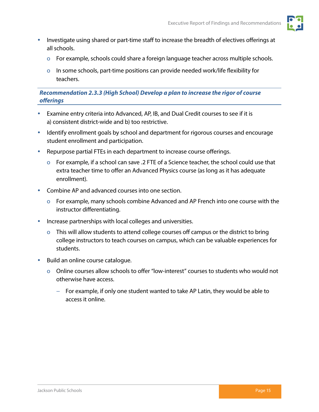

- Investigate using shared or part-time staff to increase the breadth of electives offerings at all schools.
	- o For example, schools could share a foreign language teacher across multiple schools.
	- o In some schools, part-time positions can provide needed work/life flexibility for teachers.

*Recommendation 2.3.3 (High School) Develop a plan to increase the rigor of course offerings*

- Examine entry criteria into Advanced, AP, IB, and Dual Credit courses to see if it is a) consistent district-wide and b) too restrictive.
- Identify enrollment goals by school and department for rigorous courses and encourage student enrollment and participation.
- Repurpose partial FTEs in each department to increase course offerings.
	- o For example, if a school can save .2 FTE of a Science teacher, the school could use that extra teacher time to offer an Advanced Physics course (as long as it has adequate enrollment).
- Combine AP and advanced courses into one section.
	- o For example, many schools combine Advanced and AP French into one course with the instructor differentiating.
- Increase partnerships with local colleges and universities.
	- o This will allow students to attend college courses off campus or the district to bring college instructors to teach courses on campus, which can be valuable experiences for students.
- Build an online course catalogue.
	- o Online courses allow schools to offer "low-interest" courses to students who would not otherwise have access.
		- − For example, if only one student wanted to take AP Latin, they would be able to access it online.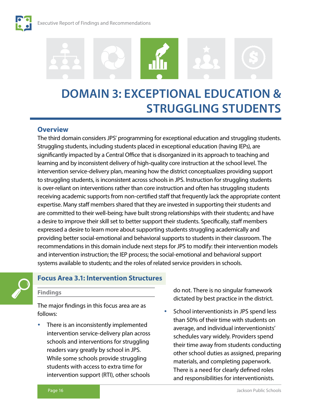<span id="page-18-0"></span>

### **DOMAIN 3: EXCEPTIONAL EDUCATION & STRUGGLING STUDENTS**

#### **Overview**

The third domain considers JPS' programming for exceptional education and struggling students. Struggling students, including students placed in exceptional education (having IEPs), are significantly impacted by a Central Office that is disorganized in its approach to teaching and learning and by inconsistent delivery of high-quality core instruction at the school level. The intervention service-delivery plan, meaning how the district conceptualizes providing support to struggling students, is inconsistent across schools in JPS. Instruction for struggling students is over-reliant on interventions rather than core instruction and often has struggling students receiving academic supports from non-certified staff that frequently lack the appropriate content expertise. Many staff members shared that they are invested in supporting their students and are committed to their well-being; have built strong relationships with their students; and have a desire to improve their skill set to better support their students. Specifically, staff members expressed a desire to learn more about supporting students struggling academically and providing better social-emotional and behavioral supports to students in their classroom. The recommendations in this domain include next steps for JPS to modify: their intervention models and intervention instruction; the IEP process; the social-emotional and behavioral support systems available to students; and the roles of related service providers in schools.

#### **Focus Area 3.1: Intervention Structures**

#### **Findings**

The major findings in this focus area are as follows:

 There is an inconsistently implemented intervention service-delivery plan across schools and interventions for struggling readers vary greatly by school in JPS. While some schools provide struggling students with access to extra time for intervention support (RTI), other schools

do not. There is no singular framework dictated by best practice in the district.

 School interventionists in JPS spend less than 50% of their time with students on average, and individual interventionists' schedules vary widely. Providers spend their time away from students conducting other school duties as assigned, preparing materials, and completing paperwork. There is a need for clearly defined roles and responsibilities for interventionists.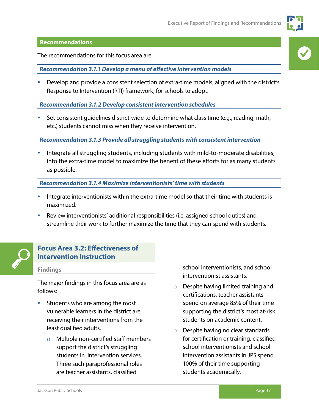

#### <span id="page-19-0"></span>**Recommendations**

The recommendations for this focus area are:

*Recommendation 3.1.1 Develop a menu of effective intervention models*

 Develop and provide a consistent selection of extra-time models, aligned with the district's Response to Intervention (RTI) framework, for schools to adopt.

*Recommendation 3.1.2 Develop consistent intervention schedules*

 Set consistent guidelines district-wide to determine what class time (e.g., reading, math, etc.) students cannot miss when they receive intervention.

*Recommendation 3.1.3 Provide all struggling students with consistent intervention*

 Integrate all struggling students, including students with mild-to-moderate disabilities, into the extra-time model to maximize the benefit of these efforts for as many students as possible.

*Recommendation 3.1.4 Maximize interventionists' time with students* 

- Integrate interventionists within the extra-time model so that their time with students is maximized.
- Review interventionists' additional responsibilities (i.e. assigned school duties) and streamline their work to further maximize the time that they can spend with students.



#### **Focus Area 3.2: Effectiveness of Intervention Instruction**

#### **Findings**

The major findings in this focus area are as follows:

- Students who are among the most vulnerable learners in the district are receiving their interventions from the least qualified adults.
	- ο Multiple non-certified staff members support the district's struggling students in intervention services. Three such paraprofessional roles are teacher assistants, classified

school interventionists, and school interventionist assistants.

- ο Despite having limited training and certifications, teacher assistants spend on average 85% of their time supporting the district's most at-risk students on academic content.
- ο Despite having no clear standards for certification or training, classified school interventionists and school intervention assistants in JPS spend 100% of their time supporting students academically.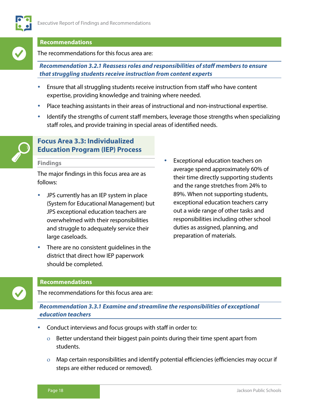#### <span id="page-20-0"></span>**Recommendations**

The recommendations for this focus area are:

*Recommendation 3.2.1 Reassess roles and responsibilities of staff members to ensure that struggling students receive instruction from content experts*

- Ensure that all struggling students receive instruction from staff who have content expertise, providing knowledge and training where needed.
- Place teaching assistants in their areas of instructional and non-instructional expertise.
- Identify the strengths of current staff members, leverage those strengths when specializing staff roles, and provide training in special areas of identified needs.



#### **Focus Area 3.3: Individualized Education Program (IEP) Process**

#### **Findings**

The major findings in this focus area are as follows:

- JPS currently has an IEP system in place (System for Educational Management) but JPS exceptional education teachers are overwhelmed with their responsibilities and struggle to adequately service their large caseloads.
- There are no consistent quidelines in the district that direct how IEP paperwork should be completed.
- Exceptional education teachers on average spend approximately 60% of their time directly supporting students and the range stretches from 24% to 89%. When not supporting students, exceptional education teachers carry out a wide range of other tasks and responsibilities including other school duties as assigned, planning, and preparation of materials.

#### **Recommendations**

The recommendations for this focus area are:

*Recommendation 3.3.1 Examine and streamline the responsibilities of exceptional education teachers*

- Conduct interviews and focus groups with staff in order to:
	- ο Better understand their biggest pain points during their time spent apart from students.
	- ο Map certain responsibilities and identify potential efficiencies (efficiencies may occur if steps are either reduced or removed).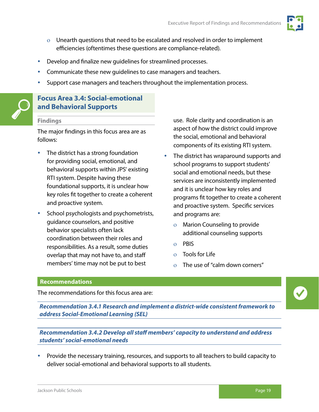- <span id="page-21-0"></span>ο Unearth questions that need to be escalated and resolved in order to implement efficiencies (oftentimes these questions are compliance-related).
- Develop and finalize new guidelines for streamlined processes.
- Communicate these new guidelines to case managers and teachers.
- Support case managers and teachers throughout the implementation process.



#### **Focus Area 3.4: Social-emotional and Behavioral Supports**

#### **Findings**

The major findings in this focus area are as follows:

- The district has a strong foundation for providing social, emotional, and behavioral supports within JPS' existing RTI system. Despite having these foundational supports, it is unclear how key roles fit together to create a coherent and proactive system.
- School psychologists and psychometrists, guidance counselors, and positive behavior specialists often lack coordination between their roles and responsibilities. As a result, some duties overlap that may not have to, and staff members' time may not be put to best

use. Role clarity and coordination is an aspect of how the district could improve the social, emotional and behavioral components of its existing RTI system.

- The district has wraparound supports and school programs to support students' social and emotional needs, but these services are inconsistently implemented and it is unclear how key roles and programs fit together to create a coherent and proactive system. Specific services and programs are:
	- ο Marion Counseling to provide additional counseling supports
	- ο PBIS
	- ο Tools for Life
	- ο The use of "calm down corners"

#### **Recommendations**

The recommendations for this focus area are:

*Recommendation 3.4.1 Research and implement a district-wide consistent framework to address Social-Emotional Learning (SEL)* 

*Recommendation 3.4.2 Develop all staff members' capacity to understand and address students' social-emotional needs*

 Provide the necessary training, resources, and supports to all teachers to build capacity to deliver social-emotional and behavioral supports to all students.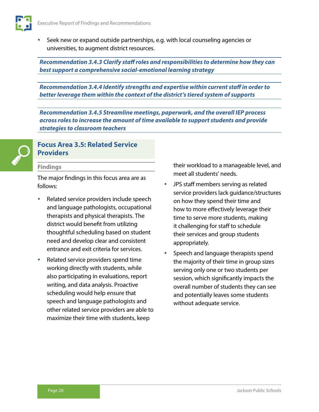

 Seek new or expand outside partnerships, e.g. with local counseling agencies or universities, to augment district resources.

*Recommendation 3.4.3 Clarify staff roles and responsibilities to determine how they can best support a comprehensive social-emotional learning strategy*

*Recommendation 3.4.4 Identify strengths and expertise within current staff in order to better leverage them within the context of the district's tiered system of supports*

*Recommendation 3.4.5 Streamline meetings, paperwork, and the overall IEP process across roles to increase the amount of time available to support students and provide strategies to classroom teachers*



#### **Focus Area 3.5: Related Service Providers**

#### **Findings**

The major findings in this focus area are as follows:

- Related service providers include speech and language pathologists, occupational therapists and physical therapists. The district would benefit from utilizing thoughtful scheduling based on student need and develop clear and consistent entrance and exit criteria for services.
- Related service providers spend time working directly with students, while also participating in evaluations, report writing, and data analysis. Proactive scheduling would help ensure that speech and language pathologists and other related service providers are able to maximize their time with students, keep

their workload to a manageable level, and meet all students' needs.

- JPS staff members serving as related service providers lack guidance/structures on how they spend their time and how to more effectively leverage their time to serve more students, making it challenging for staff to schedule their services and group students appropriately.
- Speech and language therapists spend the majority of their time in group sizes serving only one or two students per session, which significantly impacts the overall number of students they can see and potentially leaves some students without adequate service.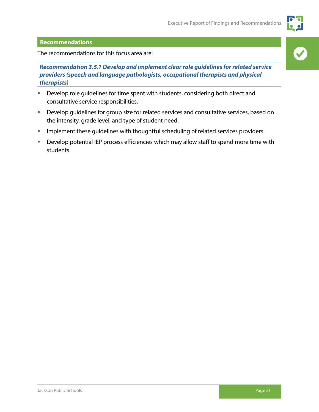

#### **Recommendations**

The recommendations for this focus area are:

*Recommendation 3.5.1 Develop and implement clear role guidelines for related service providers (speech and language pathologists, occupational therapists and physical therapists)*

- Develop role guidelines for time spent with students, considering both direct and consultative service responsibilities.
- Develop guidelines for group size for related services and consultative services, based on the intensity, grade level, and type of student need.
- Implement these guidelines with thoughtful scheduling of related services providers.
- Develop potential IEP process efficiencies which may allow staff to spend more time with students.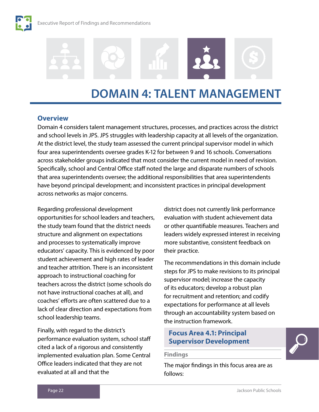<span id="page-24-0"></span>

### **DOMAIN 4: TALENT MANAGEMENT**

#### **Overview**

Domain 4 considers talent management structures, processes, and practices across the district and school levels in JPS. JPS struggles with leadership capacity at all levels of the organization. At the district level, the study team assessed the current principal supervisor model in which four area superintendents oversee grades K-12 for between 9 and 16 schools. Conversations across stakeholder groups indicated that most consider the current model in need of revision. Specifically, school and Central Office staff noted the large and disparate numbers of schools that area superintendents oversee; the additional responsibilities that area superintendents have beyond principal development; and inconsistent practices in principal development across networks as major concerns.

Regarding professional development opportunities for school leaders and teachers, the study team found that the district needs structure and alignment on expectations and processes to systematically improve educators' capacity. This is evidenced by poor student achievement and high rates of leader and teacher attrition. There is an inconsistent approach to instructional coaching for teachers across the district (some schools do not have instructional coaches at all), and coaches' efforts are often scattered due to a lack of clear direction and expectations from school leadership teams.

Finally, with regard to the district's performance evaluation system, school staff cited a lack of a rigorous and consistently implemented evaluation plan. Some Central Office leaders indicated that they are not evaluated at all and that the

district does not currently link performance evaluation with student achievement data or other quantifiable measures. Teachers and leaders widely expressed interest in receiving more substantive, consistent feedback on their practice.

The recommendations in this domain include steps for JPS to make revisions to its principal supervisor model; increase the capacity of its educators; develop a robust plan for recruitment and retention; and codify expectations for performance at all levels through an accountability system based on the instruction framework.

#### **Focus Area 4.1: Principal Supervisor Development**

#### **Findings**

The major findings in this focus area are as follows:

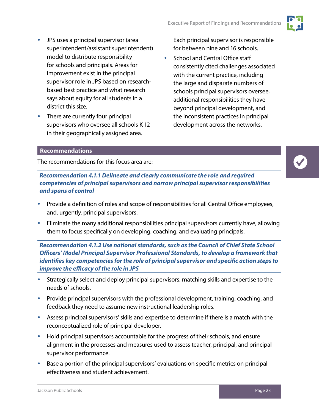

- JPS uses a principal supervisor (area superintendent/assistant superintendent) model to distribute responsibility for schools and principals. Areas for improvement exist in the principal supervisor role in JPS based on researchbased best practice and what research says about equity for all students in a district this size.
- There are currently four principal supervisors who oversee all schools K-12 in their geographically assigned area.

Each principal supervisor is responsible for between nine and 16 schools.

 School and Central Office staff consistently cited challenges associated with the current practice, including the large and disparate numbers of schools principal supervisors oversee, additional responsibilities they have beyond principal development, and the inconsistent practices in principal development across the networks.

#### **Recommendations**

The recommendations for this focus area are:

*Recommendation 4.1.1 Delineate and clearly communicate the role and required competencies of principal supervisors and narrow principal supervisor responsibilities and spans of control*

- Provide a definition of roles and scope of responsibilities for all Central Office employees, and, urgently, principal supervisors.
- Eliminate the many additional responsibilities principal supervisors currently have, allowing them to focus specifically on developing, coaching, and evaluating principals.

*Recommendation 4.1.2 Use national standards, such as the Council of Chief State School Officers' Model Principal Supervisor Professional Standards, to develop a framework that identifies key competencies for the role of principal supervisor and specific action steps to improve the efficacy of the role in JPS*

- Strategically select and deploy principal supervisors, matching skills and expertise to the needs of schools.
- Provide principal supervisors with the professional development, training, coaching, and feedback they need to assume new instructional leadership roles.
- Assess principal supervisors' skills and expertise to determine if there is a match with the reconceptualized role of principal developer.
- Hold principal supervisors accountable for the progress of their schools, and ensure alignment in the processes and measures used to assess teacher, principal, and principal supervisor performance.
- Base a portion of the principal supervisors' evaluations on specific metrics on principal effectiveness and student achievement.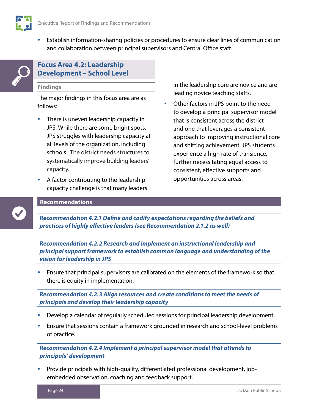<span id="page-26-0"></span>

 Establish information-sharing policies or procedures to ensure clear lines of communication and collaboration between principal supervisors and Central Office staff.



#### **Focus Area 4.2: Leadership Development – School Level**

#### **Findings**

The major findings in this focus area are as follows:

- There is uneven leadership capacity in JPS. While there are some bright spots, JPS struggles with leadership capacity at all levels of the organization, including schools. The district needs structures to systematically improve building leaders' capacity.
- A factor contributing to the leadership capacity challenge is that many leaders

in the leadership core are novice and are leading novice teaching staffs.

 Other factors in JPS point to the need to develop a principal supervisor model that is consistent across the district and one that leverages a consistent approach to improving instructional core and shifting achievement. JPS students experience a high rate of transience, further necessitating equal access to consistent, effective supports and opportunities across areas.

#### **Recommendations**

*Recommendation 4.2.1 Define and codify expectations regarding the beliefs and practices of highly effective leaders (see Recommendation 2.1.2 as well)*

*Recommendation 4.2.2 Research and implement an instructional leadership and principal support framework to establish common language and understanding of the vision for leadership in JPS*

 Ensure that principal supervisors are calibrated on the elements of the framework so that there is equity in implementation.

*Recommendation 4.2.3 Align resources and create conditions to meet the needs of principals and develop their leadership capacity*

- Develop a calendar of regularly scheduled sessions for principal leadership development.
- Ensure that sessions contain a framework grounded in research and school-level problems of practice.

*Recommendation 4.2.4 Implement a principal supervisor model that attends to principals' development*

 Provide principals with high-quality, differentiated professional development, jobembedded observation, coaching and feedback support.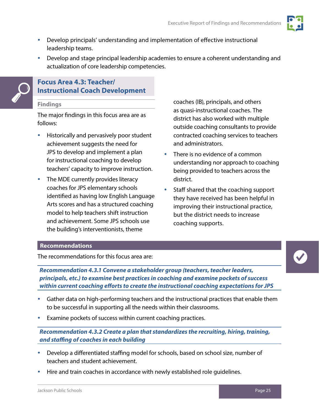

- <span id="page-27-0"></span> Develop principals' understanding and implementation of effective instructional leadership teams.
- Develop and stage principal leadership academies to ensure a coherent understanding and actualization of core leadership competencies.



#### **Findings**

The major findings in this focus area are as follows:

- Historically and pervasively poor student achievement suggests the need for JPS to develop and implement a plan for instructional coaching to develop teachers' capacity to improve instruction.
- The MDE currently provides literacy coaches for JPS elementary schools identified as having low English Language Arts scores and has a structured coaching model to help teachers shift instruction and achievement. Some JPS schools use the building's interventionists, theme

coaches (IB), principals, and others as quasi-instructional coaches. The district has also worked with multiple outside coaching consultants to provide contracted coaching services to teachers and administrators.

- There is no evidence of a common understanding nor approach to coaching being provided to teachers across the district.
- Staff shared that the coaching support they have received has been helpful in improving their instructional practice, but the district needs to increase coaching supports.

#### **Recommendations**

The recommendations for this focus area are:

*Recommendation 4.3.1 Convene a stakeholder group (teachers, teacher leaders, principals, etc.) to examine best practices in coaching and examine pockets of success within current coaching efforts to create the instructional coaching expectations for JPS*

- Gather data on high-performing teachers and the instructional practices that enable them to be successful in supporting all the needs within their classrooms.
- Examine pockets of success within current coaching practices.

*Recommendation 4.3.2 Create a plan that standardizes the recruiting, hiring, training, and staffing of coaches in each building*

- Develop a differentiated staffing model for schools, based on school size, number of teachers and student achievement.
- Hire and train coaches in accordance with newly established role guidelines.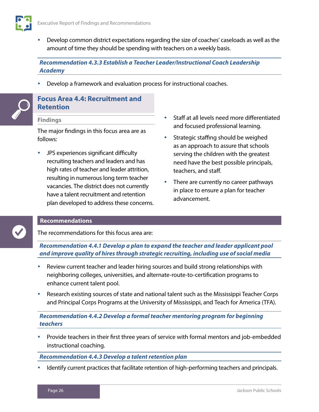<span id="page-28-0"></span>

 Develop common district expectations regarding the size of coaches' caseloads as well as the amount of time they should be spending with teachers on a weekly basis.

*Recommendation 4.3.3 Establish a Teacher Leader/Instructional Coach Leadership Academy*

Develop a framework and evaluation process for instructional coaches.

#### **Focus Area 4.4: Recruitment and Retention**

#### **Findings**

The major findings in this focus area are as follows:

- JPS experiences significant difficulty recruiting teachers and leaders and has high rates of teacher and leader attrition, resulting in numerous long term teacher vacancies. The district does not currently have a talent recruitment and retention plan developed to address these concerns.
- Staff at all levels need more differentiated and focused professional learning.
- Strategic staffing should be weighed as an approach to assure that schools serving the children with the greatest need have the best possible principals, teachers, and staff.
- There are currently no career pathways in place to ensure a plan for teacher advancement.

#### **Recommendations**

The recommendations for this focus area are:

*Recommendation 4.4.1 Develop a plan to expand the teacher and leader applicant pool and improve quality of hires through strategic recruiting, including use of social media* 

- Review current teacher and leader hiring sources and build strong relationships with neighboring colleges, universities, and alternate-route-to-certification programs to enhance current talent pool.
- Research existing sources of state and national talent such as the Mississippi Teacher Corps and Principal Corps Programs at the University of Mississippi, and Teach for America (TFA).

*Recommendation 4.4.2 Develop a formal teacher mentoring program for beginning teachers*

 Provide teachers in their first three years of service with formal mentors and job-embedded instructional coaching.

*Recommendation 4.4.3 Develop a talent retention plan* 

Identify current practices that facilitate retention of high-performing teachers and principals.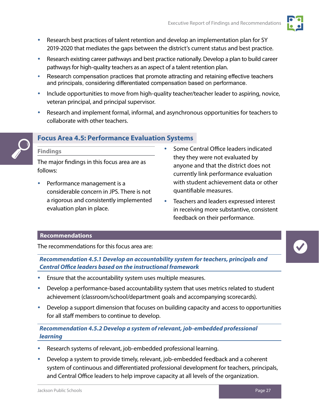

- <span id="page-29-0"></span> Research best practices of talent retention and develop an implementation plan for SY 2019-2020 that mediates the gaps between the district's current status and best practice.
- Research existing career pathways and best practice nationally. Develop a plan to build career pathways for high-quality teachers as an aspect of a talent retention plan.
- Research compensation practices that promote attracting and retaining effective teachers and principals, considering differentiated compensation based on performance.
- Include opportunities to move from high-quality teacher/teacher leader to aspiring, novice, veteran principal, and principal supervisor.
- Research and implement formal, informal, and asynchronous opportunities for teachers to collaborate with other teachers.



#### **Focus Area 4.5: Performance Evaluation Systems**

#### **Findings**

The major findings in this focus area are as follows:

- Performance management is a considerable concern in JPS. There is not a rigorous and consistently implemented evaluation plan in place.
- Some Central Office leaders indicated they they were not evaluated by anyone and that the district does not currently link performance evaluation with student achievement data or other quantifiable measures.
- Teachers and leaders expressed interest in receiving more substantive, consistent feedback on their performance.

#### **Recommendations**

The recommendations for this focus area are:

#### *Recommendation 4.5.1 Develop an accountability system for teachers, principals and Central Office leaders based on the instructional framework*

- Ensure that the accountability system uses multiple measures.
- Develop a performance-based accountability system that uses metrics related to student achievement (classroom/school/department goals and accompanying scorecards).
- Develop a support dimension that focuses on building capacity and access to opportunities for all staff members to continue to develop.

*Recommendation 4.5.2 Develop a system of relevant, job-embedded professional learning*

- Research systems of relevant, job-embedded professional learning.
- Develop a system to provide timely, relevant, job-embedded feedback and a coherent system of continuous and differentiated professional development for teachers, principals, and Central Office leaders to help improve capacity at all levels of the organization.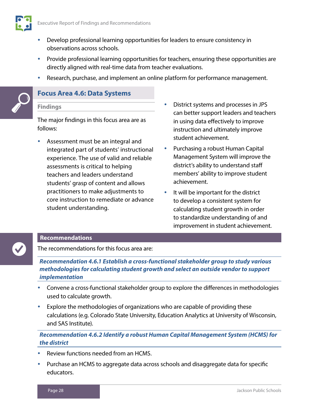<span id="page-30-0"></span>

- Develop professional learning opportunities for leaders to ensure consistency in observations across schools.
- Provide professional learning opportunities for teachers, ensuring these opportunities are directly aligned with real-time data from teacher evaluations.
- Research, purchase, and implement an online platform for performance management.

#### **Focus Area 4.6: Data Systems**

#### **Findings**

The major findings in this focus area are as follows:

- Assessment must be an integral and integrated part of students' instructional experience. The use of valid and reliable assessments is critical to helping teachers and leaders understand students' grasp of content and allows practitioners to make adjustments to core instruction to remediate or advance student understanding.
- District systems and processes in JPS can better support leaders and teachers in using data effectively to improve instruction and ultimately improve student achievement.
- Purchasing a robust Human Capital Management System will improve the district's ability to understand staff members' ability to improve student achievement.
- It will be important for the district to develop a consistent system for calculating student growth in order to standardize understanding of and improvement in student achievement.

#### **Recommendations**

The recommendations for this focus area are:

*Recommendation 4.6.1 Establish a cross-functional stakeholder group to study various methodologies for calculating student growth and select an outside vendor to support implementation*

- Convene a cross-functional stakeholder group to explore the differences in methodologies used to calculate growth.
- Explore the methodologies of organizations who are capable of providing these calculations (e.g. Colorado State University, Education Analytics at University of Wisconsin, and SAS Institute).

*Recommendation 4.6.2 Identify a robust Human Capital Management System (HCMS) for the district*

- Review functions needed from an HCMS.
- Purchase an HCMS to aggregate data across schools and disaggregate data for specific educators.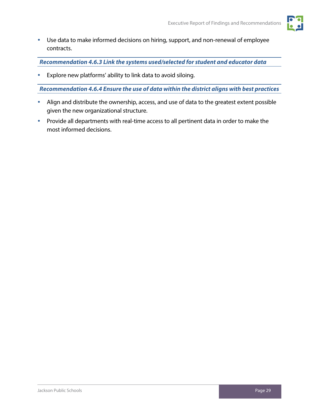

 Use data to make informed decisions on hiring, support, and non-renewal of employee contracts.

*Recommendation 4.6.3 Link the systems used/selected for student and educator data*

Explore new platforms' ability to link data to avoid siloing.

*Recommendation 4.6.4 Ensure the use of data within the district aligns with best practices*

- Align and distribute the ownership, access, and use of data to the greatest extent possible given the new organizational structure.
- Provide all departments with real-time access to all pertinent data in order to make the most informed decisions.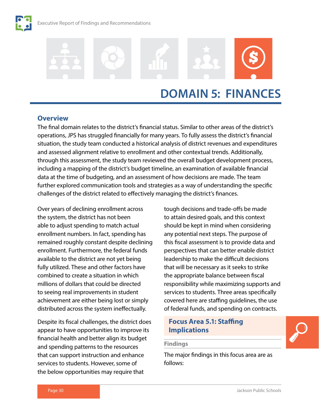

### **DOMAIN 5: FINANCES**

#### **Overview**

The final domain relates to the district's financial status. Similar to other areas of the district's operations, JPS has struggled financially for many years. To fully assess the district's financial situation, the study team conducted a historical analysis of district revenues and expenditures and assessed alignment relative to enrollment and other contextual trends. Additionally, through this assessment, the study team reviewed the overall budget development process, including a mapping of the district's budget timeline, an examination of available financial data at the time of budgeting, and an assessment of how decisions are made. The team further explored communication tools and strategies as a way of understanding the specific challenges of the district related to effectively managing the district's finances.

Over years of declining enrollment across the system, the district has not been able to adjust spending to match actual enrollment numbers. In fact, spending has remained roughly constant despite declining enrollment. Furthermore, the federal funds available to the district are not yet being fully utilized. These and other factors have combined to create a situation in which millions of dollars that could be directed to seeing real improvements in student achievement are either being lost or simply distributed across the system ineffectually.

Despite its fiscal challenges, the district does appear to have opportunities to improve its financial health and better align its budget and spending patterns to the resources that can support instruction and enhance services to students. However, some of the below opportunities may require that

tough decisions and trade-offs be made to attain desired goals, and this context should be kept in mind when considering any potential next steps. The purpose of this fiscal assessment is to provide data and perspectives that can better enable district leadership to make the difficult decisions that will be necessary as it seeks to strike the appropriate balance between fiscal responsibility while maximizing supports and services to students. Three areas specifically covered here are staffing guidelines, the use of federal funds, and spending on contracts.

#### **Focus Area 5.1: Staffing Implications**

#### **Findings**

The major findings in this focus area are as follows:

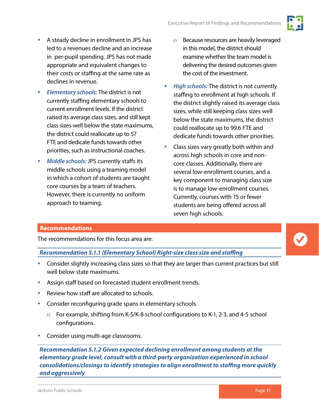- A steady decline in enrollment in JPS has led to a revenues decline and an increase in per-pupil spending. JPS has not made appropriate and equivalent changes to their costs or staffing at the same rate as declines in revenue.
- *Elementary schools:* The district is not currently staffing elementary schools to current enrollment levels. If the district raised its average class sizes, and still kept class sizes well below the state maximums, the district could reallocate up to 57 FTE and dedicate funds towards other priorities, such as instructional coaches.
- *Middle schools:* JPS currently staffs its middle schools using a teaming model in which a cohort of students are taught core courses by a team of teachers. However, there is currently no uniform approach to teaming.
- ο Because resources are heavily leveraged in this model, the district should examine whether the team model is delivering the desired outcomes given the cost of the investment.
- *High schools:* The district is not currently staffing to enrollment at high schools. If the district slightly raised its average class sizes, while still keeping class sizes well below the state maximums, the district could reallocate up to 99.6 FTE and dedicate funds towards other priorities.
- Class sizes vary greatly both within and across high schools in core and noncore classes. Additionally, there are several low-enrollment courses, and a key component to managing class size is to manage low-enrollment courses. Currently, courses with 15 or fewer students are being offered across all seven high schools.

#### **Recommendations**

The recommendations for this focus area are:

*Recommendation 5.1.1 (Elementary School) Right-size class size and staffing*

- Consider slightly increasing class sizes so that they are larger than current practices but still well below state maximums.
- Assign staff based on forecasted student enrollment trends.
- Review how staff are allocated to schools.
- Consider reconfiguring grade spans in elementary schools.
	- ο For example, shifting from K-5/K-8 school configurations to K-1, 2-3, and 4-5 school configurations.
- Consider using multi-age classrooms.

*Recommendation 5.1.2 Given expected declining enrollment among students at the elementary grade level, consult with a third-party organization experienced in school consolidations/closings to identify strategies to align enrollment to staffing more quickly and aggressively*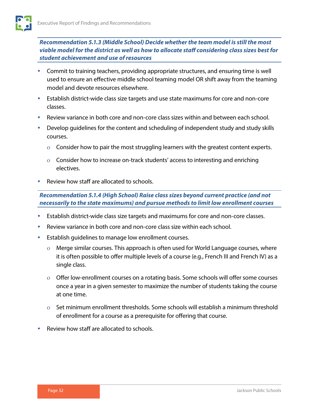

*Recommendation 5.1.3 (Middle School) Decide whether the team model is still the most viable model for the district as well as how to allocate staff considering class sizes best for student achievement and use of resources*

- Commit to training teachers, providing appropriate structures, and ensuring time is well used to ensure an effective middle school teaming model OR shift away from the teaming model and devote resources elsewhere.
- Establish district-wide class size targets and use state maximums for core and non-core classes.
- Review variance in both core and non-core class sizes within and between each school.
- Develop guidelines for the content and scheduling of independent study and study skills courses.
	- ο Consider how to pair the most struggling learners with the greatest content experts.
	- ο Consider how to increase on-track students' access to interesting and enriching electives.
- Review how staff are allocated to schools.

*Recommendation 5.1.4 (High School) Raise class sizes beyond current practice (and not necessarily to the state maximums) and pursue methods to limit low enrollment courses*

- Establish district-wide class size targets and maximums for core and non-core classes.
- Review variance in both core and non-core class size within each school.
- Establish guidelines to manage low enrollment courses.
	- ο Merge similar courses. This approach is often used for World Language courses, where it is often possible to offer multiple levels of a course (e.g., French III and French IV) as a single class.
	- ο Offer low-enrollment courses on a rotating basis. Some schools will offer some courses once a year in a given semester to maximize the number of students taking the course at one time.
	- ο Set minimum enrollment thresholds. Some schools will establish a minimum threshold of enrollment for a course as a prerequisite for offering that course.
- Review how staff are allocated to schools.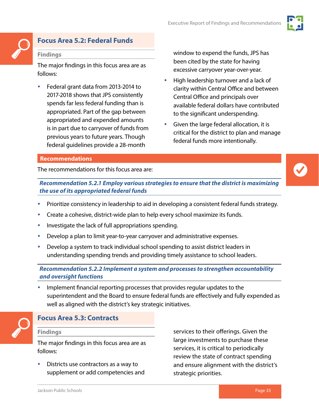

### **Focus Area 5.2: Federal Funds**

#### **Findings**

The major findings in this focus area are as follows:

 Federal grant data from 2013-2014 to 2017-2018 shows that JPS consistently spends far less federal funding than is appropriated. Part of the gap between appropriated and expended amounts is in part due to carryover of funds from previous years to future years. Though federal guidelines provide a 28-month

window to expend the funds, JPS has been cited by the state for having excessive carryover year-over-year.

- High leadership turnover and a lack of clarity within Central Office and between Central Office and principals over available federal dollars have contributed to the significant underspending.
- Given the large federal allocation, it is critical for the district to plan and manage federal funds more intentionally.

#### **Recommendations**

The recommendations for this focus area are:



*Recommendation 5.2.1 Employ various strategies to ensure that the district is maximizing the use of its appropriated federal funds*

- Prioritize consistency in leadership to aid in developing a consistent federal funds strategy.
- Create a cohesive, district-wide plan to help every school maximize its funds.
- Investigate the lack of full appropriations spending.
- Develop a plan to limit year-to-year carryover and administrative expenses.
- Develop a system to track individual school spending to assist district leaders in understanding spending trends and providing timely assistance to school leaders.

*Recommendation 5.2.2 Implement a system and processes to strengthen accountability and oversight functions*

 Implement financial reporting processes that provides regular updates to the superintendent and the Board to ensure federal funds are effectively and fully expended as well as aligned with the district's key strategic initiatives.



#### **Focus Area 5.3: Contracts**

#### **Findings**

The major findings in this focus area are as follows:

 Districts use contractors as a way to supplement or add competencies and services to their offerings. Given the large investments to purchase these services, it is critical to periodically review the state of contract spending and ensure alignment with the district's strategic priorities.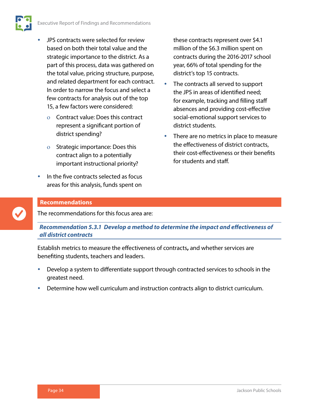- JPS contracts were selected for review based on both their total value and the strategic importance to the district. As a part of this process, data was gathered on the total value, pricing structure, purpose, and related department for each contract. In order to narrow the focus and select a few contracts for analysis out of the top 15, a few factors were considered:
	- ο Contract value: Does this contract represent a significant portion of district spending?
	- ο Strategic importance: Does this contract align to a potentially important instructional priority?
- In the five contracts selected as focus areas for this analysis, funds spent on

these contracts represent over \$4.1 million of the \$6.3 million spent on contracts during the 2016-2017 school year, 66% of total spending for the district's top 15 contracts.

- The contracts all served to support the JPS in areas of identified need; for example, tracking and filling staff absences and providing cost-effective social-emotional support services to district students.
- There are no metrics in place to measure the effectiveness of district contracts, their cost-effectiveness or their benefits for students and staff.

#### **Recommendations**

The recommendations for this focus area are:

*Recommendation 5.3.1 Develop a method to determine the impact and effectiveness of all district contracts*

Establish metrics to measure the effectiveness of contracts**,** and whether services are benefiting students, teachers and leaders.

- Develop a system to differentiate support through contracted services to schools in the greatest need.
- Determine how well curriculum and instruction contracts align to district curriculum.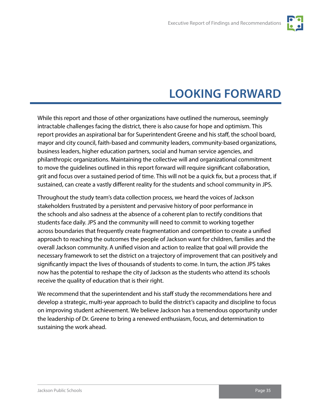

### **LOOKING FORWARD**

<span id="page-37-0"></span>While this report and those of other organizations have outlined the numerous, seemingly intractable challenges facing the district, there is also cause for hope and optimism. This report provides an aspirational bar for Superintendent Greene and his staff, the school board, mayor and city council, faith-based and community leaders, community-based organizations, business leaders, higher education partners, social and human service agencies, and philanthropic organizations. Maintaining the collective will and organizational commitment to move the guidelines outlined in this report forward will require significant collaboration, grit and focus over a sustained period of time. This will not be a quick fix, but a process that, if sustained, can create a vastly different reality for the students and school community in JPS.

Throughout the study team's data collection process, we heard the voices of Jackson stakeholders frustrated by a persistent and pervasive history of poor performance in the schools and also sadness at the absence of a coherent plan to rectify conditions that students face daily. JPS and the community will need to commit to working together across boundaries that frequently create fragmentation and competition to create a unified approach to reaching the outcomes the people of Jackson want for children, families and the overall Jackson community. A unified vision and action to realize that goal will provide the necessary framework to set the district on a trajectory of improvement that can positively and significantly impact the lives of thousands of students to come. In turn, the action JPS takes now has the potential to reshape the city of Jackson as the students who attend its schools receive the quality of education that is their right.

We recommend that the superintendent and his staff study the recommendations here and develop a strategic, multi-year approach to build the district's capacity and discipline to focus on improving student achievement. We believe Jackson has a tremendous opportunity under the leadership of Dr. Greene to bring a renewed enthusiasm, focus, and determination to sustaining the work ahead.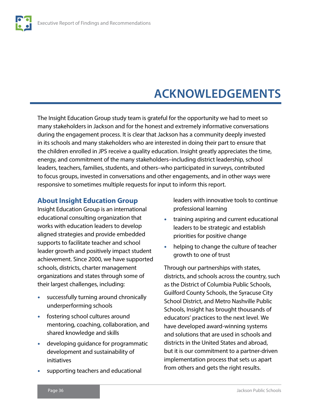## **ACKNOWLEDGEMENTS**

<span id="page-38-0"></span>The Insight Education Group study team is grateful for the opportunity we had to meet so many stakeholders in Jackson and for the honest and extremely informative conversations during the engagement process. It is clear that Jackson has a community deeply invested in its schools and many stakeholders who are interested in doing their part to ensure that the children enrolled in JPS receive a quality education. Insight greatly appreciates the time, energy, and commitment of the many stakeholders–including district leadership, school leaders, teachers, families, students, and others–who participated in surveys, contributed to focus groups, invested in conversations and other engagements, and in other ways were responsive to sometimes multiple requests for input to inform this report.

#### **About Insight Education Group**

Insight Education Group is an international educational consulting organization that works with education leaders to develop aligned strategies and provide embedded supports to facilitate teacher and school leader growth and positively impact student achievement. Since 2000, we have supported schools, districts, charter management organizations and states through some of their largest challenges, including:

- successfully turning around chronically underperforming schools
- fostering school cultures around mentoring, coaching, collaboration, and shared knowledge and skills
- developing guidance for programmatic development and sustainability of initiatives
- supporting teachers and educational

leaders with innovative tools to continue professional learning

- training aspiring and current educational leaders to be strategic and establish priorities for positive change
- helping to change the culture of teacher growth to one of trust

Through our partnerships with states, districts, and schools across the country, such as the District of Columbia Public Schools, Guilford County Schools, the Syracuse City School District, and Metro Nashville Public Schools, Insight has brought thousands of educators' practices to the next level. We have developed award-winning systems and solutions that are used in schools and districts in the United States and abroad, but it is our commitment to a partner-driven implementation process that sets us apart from others and gets the right results.